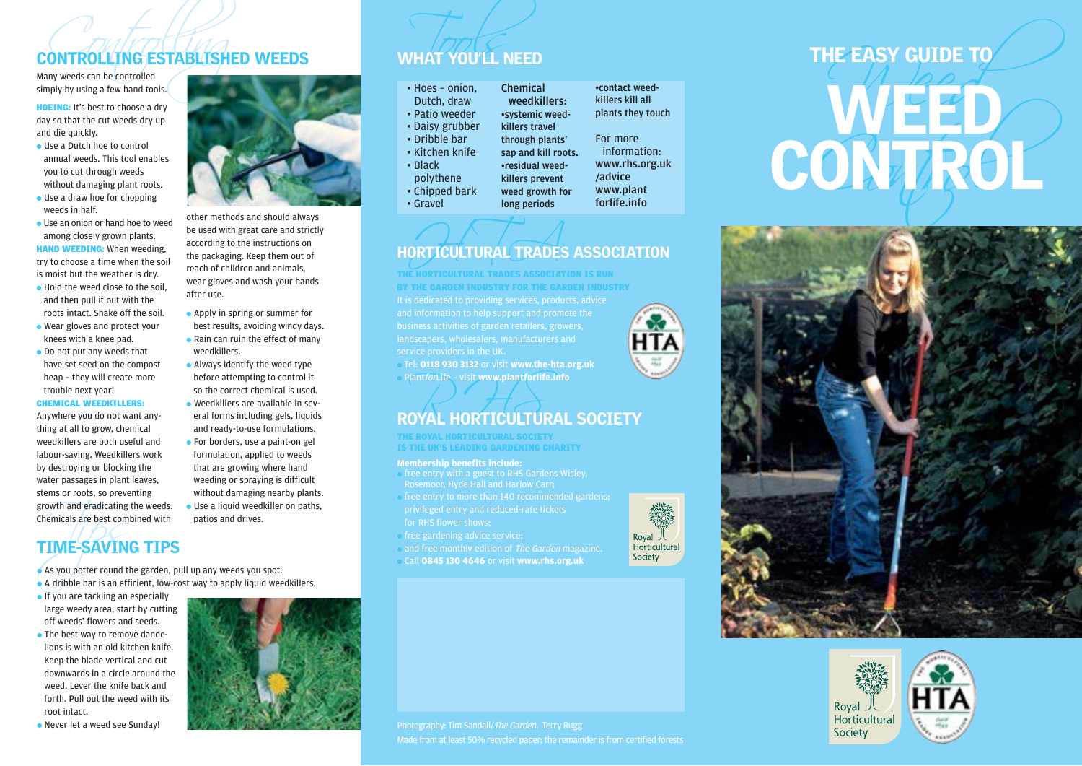# **CONTROLLING ESTABLISHED WEEDS**<br>Many weeds can be controlled<br>simply by using a few hand tools.

HOEING: It's best to choose a dry day so that the cut weeds dry up and die quickly.

- Use a Dutch hoe to control annual weeds. This tool enables you to cut through weeds without damaging plant roots.
- $\bullet$  Use a draw hoe for chopping weeds in half.
- Use an onion or hand hoe to weed among closely grown plants. **HAND WEEDING:** When weeding,

try to choose a time when the soil is moist but the weather is dry.

- Hold the weed close to the soil. and then pull it out with the roots intact. Shake off the soil.
- Wear gloves and protect your knees with a knee pad.
- Do not put any weeds that have set seed on the compost heap – they will create more trouble next year!

#### CHEMICAL WEEDKILLERS:

Anywhere you do not want anything at all to grow, chemical weedkillers are both useful and labour-saving. Weedkillers work by destroying or blocking the water passages in plant leaves, stems or roots, so preventing growth and eradicating the weeds. Chemicals are best combined with



other methods and should always be used with great care and strictly according to the instructions on the packaging. Keep them out of reach of children and animals, wear gloves and wash your hands after use.

- Apply in spring or summer for best results, avoiding windy days. ● Rain can ruin the effect of many
- Always identify the weed type before attempting to control it
- eral forms including gels, liquids
- For borders, use a paint-on gel formulation, applied to weeds that are growing where hand weeding or spraying is difficult  $\bullet$  Use a liquid weedkiller on paths,
- patios and drives.

# Frame and eradicating<br>
TIME-SAVING<br>
As you potter round the Adribble bar is an eff TIME-SAVING TIPS

● As you potter round the garden, pull up any weeds you spot.

- A dribble bar is an efficient, low-cost way to apply liquid weedkillers.
- If you are tackling an especially large weedy area, start by cutting off weeds' flowers and seeds.
- The best way to remove dandelions is with an old kitchen knife. Keep the blade vertical and cut downwards in a circle around the weed. Lever the knife back and forth. Pull out the weed with its root intact.
- Never let a weed see Sunday!



- weedkillers.
- so the correct chemical is used.
- Weedkillers are available in sevand ready-to-use formulations.
- without damaging nearby plants.
- 

# WHAT YOU'LL NEED

| • Hoes - onion. | <b>Chemical</b>     |
|-----------------|---------------------|
| Dutch, draw     | weedkillers:        |
| · Patio weeder  | •systemic weed-     |
| • Daisy grubber | killers travel      |
| • Dribble bar   | through plants'     |
| • Kitchen knife | sap and kill roots. |
| • Black         | •residual weed-     |
| polythene       | killers prevent     |
| • Chipped bark  | weed growth for     |

• Gravel

killers kill all plants they touch For more

•contact weed-

information: www.rhs.org.uk /advice www.plant forlife.info

## ORTICULTURAL TRADES HORTICULTURAL TRADES ASSOCIATION

long periods

landscapers, wholesalers, manufacturers and THE HORTICULTURAL TRADES ASSOCIATION IS RUN BY THE GARDEN INDUSTRY FOR THE GARDEN INDUSTRY

● Tel: **0118 930 3132** or visit **www.the-hta.org.uk** ● PlantforLife – visit **www.plantforlife.info**

# Plant*for*Life - visit www.plantforlife.info<br>ROYAL HORTICULTURAL SOCIETY

THE ROYAL HORTICULTURAL SOCIETY IS THE UK'S LEADING GARDENING CHARITY

#### **Membership benefits include:**

- free entry with a guest to RHS Gardens Wisley, Rosemoor, Hyde Hall and Harlow Carr;
- free entry to more than 140 recommended gardens; for RHS flower shows;
- free gardening advice service;
- and free monthly edition of The Garden magazine.
- Call **0845 130 4646** or visit **www.rhs.org.uk**









Made from at least 50% recycled paper; the remainder is from certified forests

Royal 人<br>Horticultural Society